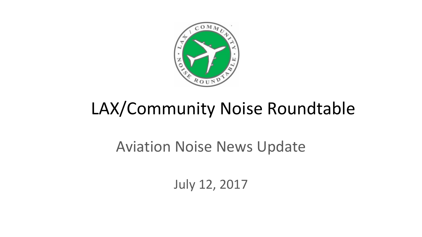

# LAX/Community Noise Roundtable

### Aviation Noise News Update

July 12, 2017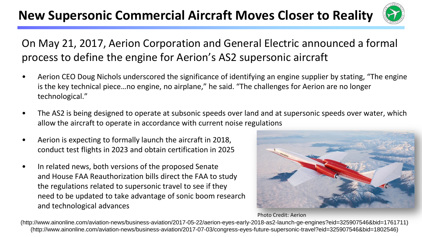#### **New Supersonic Commercial Aircraft Moves Closer to Reality**



#### On May 21, 2017, Aerion Corporation and General Electric announced a formal process to define the engine for Aerion's AS2 supersonic aircraft

- Aerion CEO Doug Nichols underscored the significance of identifying an engine supplier by stating, "The engine is the key technical piece…no engine, no airplane," he said. "The challenges for Aerion are no longer technological."
- The AS2 is being designed to operate at subsonic speeds over land and at supersonic speeds over water, which allow the aircraft to operate in accordance with current noise regulations
- Aerion is expecting to formally launch the aircraft in 2018, conduct test flights in 2023 and obtain certification in 2025
- In related news, both versions of the proposed Senate and House FAA Reauthorization bills direct the FAA to study the regulations related to supersonic travel to see if they need to be updated to take advantage of sonic boom research and technological advances



Photo Credit: Aerion

(http://www.ainonline.com/aviation-news/business-aviation/2017-05-22/aerion-eyes-early-2018-as2-launch-ge-engines?eid=325907546&bid=1761711) (http://www.ainonline.com/aviation-news/business-aviation/2017-07-03/congress-eyes-future-supersonic-travel?eid=325907546&bid=1802546)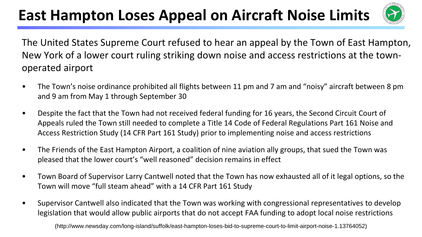### **East Hampton Loses Appeal on Aircraft Noise Limits**



The United States Supreme Court refused to hear an appeal by the Town of East Hampton, New York of a lower court ruling striking down noise and access restrictions at the townoperated airport

- The Town's noise ordinance prohibited all flights between 11 pm and 7 am and "noisy" aircraft between 8 pm and 9 am from May 1 through September 30
- Despite the fact that the Town had not received federal funding for 16 years, the Second Circuit Court of Appeals ruled the Town still needed to complete a Title 14 Code of Federal Regulations Part 161 Noise and Access Restriction Study (14 CFR Part 161 Study) prior to implementing noise and access restrictions
- The Friends of the East Hampton Airport, a coalition of nine aviation ally groups, that sued the Town was pleased that the lower court's "well reasoned" decision remains in effect
- Town Board of Supervisor Larry Cantwell noted that the Town has now exhausted all of it legal options, so the Town will move "full steam ahead" with a 14 CFR Part 161 Study
- Supervisor Cantwell also indicated that the Town was working with congressional representatives to develop legislation that would allow public airports that do not accept FAA funding to adopt local noise restrictions

(http://www.newsday.com/long-island/suffolk/east-hampton-loses-bid-to-supreme-court-to-limit-airport-noise-1.13764052)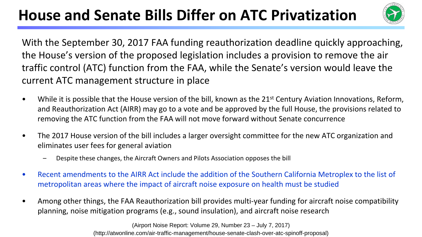### **House and Senate Bills Differ on ATC Privatization**



With the September 30, 2017 FAA funding reauthorization deadline quickly approaching, the House's version of the proposed legislation includes a provision to remove the air traffic control (ATC) function from the FAA, while the Senate's version would leave the current ATC management structure in place

- While it is possible that the House version of the bill, known as the 21<sup>st</sup> Century Aviation Innovations, Reform, and Reauthorization Act (AIRR) may go to a vote and be approved by the full House, the provisions related to removing the ATC function from the FAA will not move forward without Senate concurrence
- The 2017 House version of the bill includes a larger oversight committee for the new ATC organization and eliminates user fees for general aviation
	- Despite these changes, the Aircraft Owners and Pilots Association opposes the bill
- Recent amendments to the AIRR Act include the addition of the Southern California Metroplex to the list of metropolitan areas where the impact of aircraft noise exposure on health must be studied
- Among other things, the FAA Reauthorization bill provides multi-year funding for aircraft noise compatibility planning, noise mitigation programs (e.g., sound insulation), and aircraft noise research

(http://atwonline.com/air-traffic-management/house-senate-clash-over-atc-spinoff-proposal) (Airport Noise Report: Volume 29, Number 23 – July 7, 2017)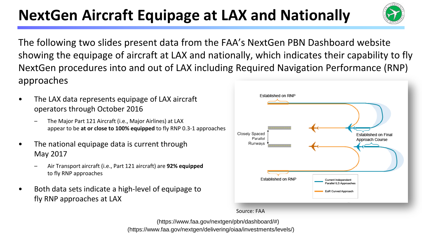### **NextGen Aircraft Equipage at LAX and Nationally**

The following two slides present data from the FAA's NextGen PBN Dashboard website showing the equipage of aircraft at LAX and nationally, which indicates their capability to fly NextGen procedures into and out of LAX including Required Navigation Performance (RNP) approaches

- The LAX data represents equipage of LAX aircraft operators through October 2016
	- The Major Part 121 Aircraft (i.e., Major Airlines) at LAX appear to be **at or close to 100% equipped** to fly RNP 0.3-1 approaches
- The national equipage data is current through May 2017
	- Air Transport aircraft (i.e., Part 121 aircraft) are **92% equipped**  to fly RNP approaches
- Both data sets indicate a high-level of equipage to fly RNP approaches at LAX





(https://www.faa.gov/nextgen/delivering/oiaa/investments/levels/) (https://www.faa.gov/nextgen/pbn/dashboard/#)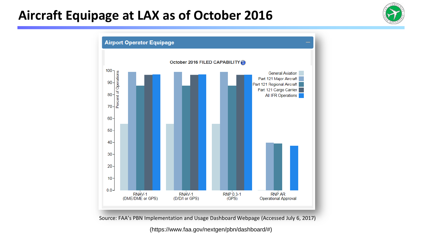#### Aircraft Equipage at LAX as of October 2016





Source: FAA's PBN Implementation and Usage Dashboard Webpage (Accessed July 6, 2017)

(https://www.faa.gov/nextgen/pbn/dashboard/#)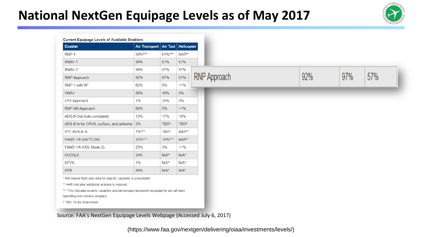#### **National NextGen Equipage Levels as of May 2017**



| <b>Enabler</b>                              | Air Transport |                  | Air Taxi   Helicopter |                     |     |     |
|---------------------------------------------|---------------|------------------|-----------------------|---------------------|-----|-----|
| RNP <sub>4</sub>                            | 58%***        | 54%***           | AAR**                 |                     |     |     |
| RNAV <sub>1</sub>                           | 99%           | 97%              | 57%                   |                     |     |     |
| RNAV <sub>2</sub>                           | 99%           | 97%              | 57%                   |                     |     |     |
| <b>RNP Approach</b>                         | 92%           | 97%              | 57%                   | <b>RNP Approach</b> | 92% | 97% |
| RNP 1 with RF                               | 62%           | 8%               | $1\%$                 |                     |     |     |
| <b>VNAV</b>                                 | 88%           | 49%              | 3%                    |                     |     |     |
| LPV Approach                                | 1%            | 35%              | 3%                    |                     |     |     |
| RNP AR Approach                             | 68%           | 5%               | $1\%$                 |                     |     |     |
| ADS-B Out (rule compliant)                  | 13%           | 17%              | 18%                   |                     |     |     |
| ADS-B In for CAVS, surface, and airborne 2% |               | TBD <sup>^</sup> | TBD <sup>^</sup>      |                     |     |     |
| ITP, ADS-B In                               | $1\%***$      | TBD <sup>^</sup> | AAR**                 |                     |     |     |
| FANS 1/A (SATCOM)                           | 32%***        | 18%***           | AAR**                 |                     |     |     |
| FANS 1/A (VDL Mode 2)                       | 25%           | 3%               | 1%                    |                     |     |     |
| <b>HUD/ILS</b>                              | 24%           | $N/A^*$          | $N/A^*$               |                     |     |     |
| <b>EFVS</b>                                 | 1%            | $N/A^*$          | $N/A^*$               |                     |     |     |
| <b>EFB</b>                                  | 89%           | $N/A^*$          | $N/A^*$               |                     |     |     |

Source: FAA's NextGen Equipage Levels Webpage (Accessed July 6, 2017)

(https://www.faa.gov/nextgen/delivering/oiaa/investments/levels/)